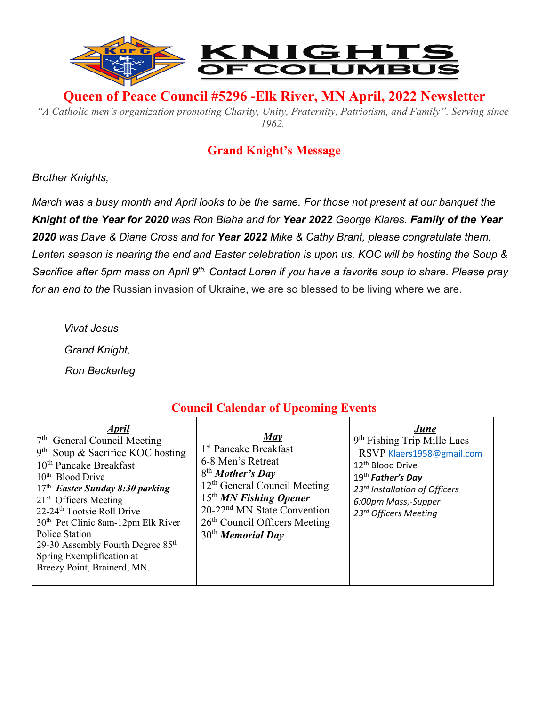

**Queen of Peace Council #5296 -Elk River, MN April, 2022 Newsletter** 

*"A Catholic men's organization promoting Charity, Unity, Fraternity, Patriotism, and Family". Serving since 1962.*

## **Grand Knight's Message**

*Brother Knights,*

*March was a busy month and April looks to be the same. For those not present at our banquet the Knight of the Year for 2020 was Ron Blaha and for Year 2022 George Klares. Family of the Year 2020 was Dave & Diane Cross and for Year 2022 Mike & Cathy Brant, please congratulate them. Lenten season is nearing the end and Easter celebration is upon us. KOC will be hosting the Soup & Sacrifice after 5pm mass on April 9th. Contact Loren if you have a favorite soup to share. Please pray for an end to the* Russian invasion of Ukraine, we are so blessed to be living where we are.

 *Vivat Jesus Grand Knight, Ron Beckerleg*

# **Council Calendar of Upcoming Events**

| <b>April</b><br>7 <sup>th</sup> General Council Meeting<br>$9th$ Soup & Sacrifice KOC hosting<br>10 <sup>th</sup> Pancake Breakfast<br>10 <sup>th</sup> Blood Drive<br>$17th$ Easter Sunday 8:30 parking<br>$21st$ Officers Meeting<br>22-24 <sup>th</sup> Tootsie Roll Drive<br>30 <sup>th</sup> Pet Clinic 8am-12pm Elk River<br><b>Police Station</b><br>29-30 Assembly Fourth Degree 85 <sup>th</sup><br>Spring Exemplification at<br>Breezy Point, Brainerd, MN. | Mav<br>1 <sup>st</sup> Pancake Breakfast<br>6-8 Men's Retreat<br>8 <sup>th</sup> Mother's Day<br>$12th$ General Council Meeting<br>$15th MN$ Fishing Opener<br>20-22 <sup>nd</sup> MN State Convention<br>26 <sup>th</sup> Council Officers Meeting<br>$30th$ Memorial Day | June<br>9 <sup>th</sup> Fishing Trip Mille Lacs<br>RSVP Klaers1958@gmail.com<br>12 <sup>th</sup> Blood Drive<br>19th Father's Day<br>23rd Installation of Officers<br>6:00pm Mass,-Supper<br>23rd Officers Meeting |
|-----------------------------------------------------------------------------------------------------------------------------------------------------------------------------------------------------------------------------------------------------------------------------------------------------------------------------------------------------------------------------------------------------------------------------------------------------------------------|----------------------------------------------------------------------------------------------------------------------------------------------------------------------------------------------------------------------------------------------------------------------------|--------------------------------------------------------------------------------------------------------------------------------------------------------------------------------------------------------------------|
|-----------------------------------------------------------------------------------------------------------------------------------------------------------------------------------------------------------------------------------------------------------------------------------------------------------------------------------------------------------------------------------------------------------------------------------------------------------------------|----------------------------------------------------------------------------------------------------------------------------------------------------------------------------------------------------------------------------------------------------------------------------|--------------------------------------------------------------------------------------------------------------------------------------------------------------------------------------------------------------------|